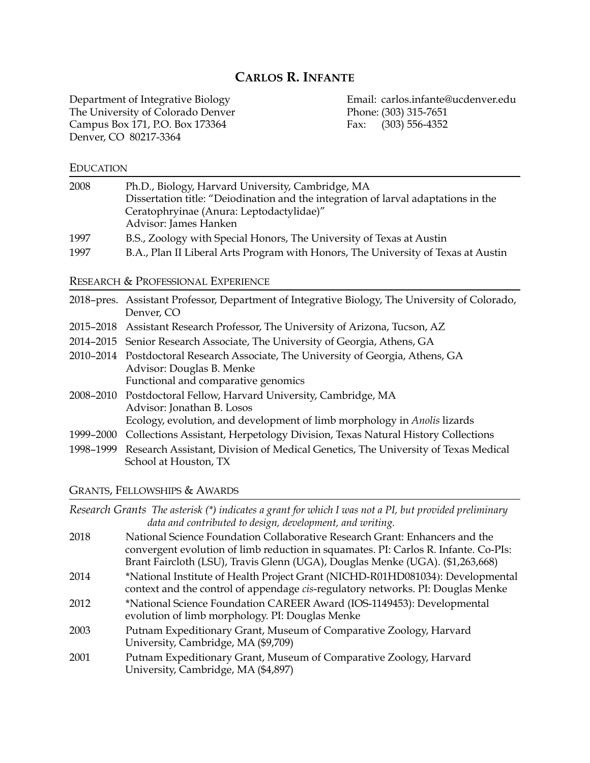### **CARLOS R. INFANTE**

The University of Colorado Denver Phone: (303) 315-7651 Campus Box 171, P.O. Box 173364 Fax: (303) 556-4352 Denver, CO 80217-3364

Department of Integrative Biology Email: carlos.infante@ucdenver.edu

#### EDUCATION

| 2008 | Ph.D., Biology, Harvard University, Cambridge, MA                                  |
|------|------------------------------------------------------------------------------------|
|      | Dissertation title: "Deiodination and the integration of larval adaptations in the |
|      | Ceratophryinae (Anura: Leptodactylidae)"                                           |
|      | Advisor: James Hanken                                                              |
| 1997 | B.S., Zoology with Special Honors, The University of Texas at Austin               |
| 1997 | B.A., Plan II Liberal Arts Program with Honors, The University of Texas at Austin  |

#### RESEARCH & PROFESSIONAL EXPERIENCE

|           | 2018–pres. Assistant Professor, Department of Integrative Biology, The University of Colorado,<br>Denver, CO                                                               |
|-----------|----------------------------------------------------------------------------------------------------------------------------------------------------------------------------|
|           | 2015-2018 Assistant Research Professor, The University of Arizona, Tucson, AZ                                                                                              |
|           | 2014–2015 Senior Research Associate, The University of Georgia, Athens, GA                                                                                                 |
|           | 2010–2014 Postdoctoral Research Associate, The University of Georgia, Athens, GA<br>Advisor: Douglas B. Menke<br>Functional and comparative genomics                       |
|           | 2008-2010 Postdoctoral Fellow, Harvard University, Cambridge, MA<br>Advisor: Jonathan B. Losos<br>Ecology, evolution, and development of limb morphology in Anolis lizards |
| 1999-2000 | Collections Assistant, Herpetology Division, Texas Natural History Collections                                                                                             |
| 1998-1999 | Research Assistant, Division of Medical Genetics, The University of Texas Medical<br>School at Houston, TX                                                                 |

#### GRANTS, FELLOWSHIPS & AWARDS

*Research Grants The asterisk (\*) indicates a grant for which I was not a PI, but provided preliminary data and contributed to design, development, and writing.*  2018 National Science Foundation Collaborative Research Grant: Enhancers and the convergent evolution of limb reduction in squamates. PI: Carlos R. Infante. Co-PIs: Brant Faircloth (LSU), Travis Glenn (UGA), Douglas Menke (UGA). (\$1,263,668) 2014 \*National Institute of Health Project Grant (NICHD-R01HD081034): Developmental context and the control of appendage *cis*-regulatory networks. PI: Douglas Menke 2012 \*National Science Foundation CAREER Award (IOS-1149453): Developmental evolution of limb morphology. PI: Douglas Menke 2003 Putnam Expeditionary Grant, Museum of Comparative Zoology, Harvard University, Cambridge, MA (\$9,709) 2001 Putnam Expeditionary Grant, Museum of Comparative Zoology, Harvard University, Cambridge, MA (\$4,897)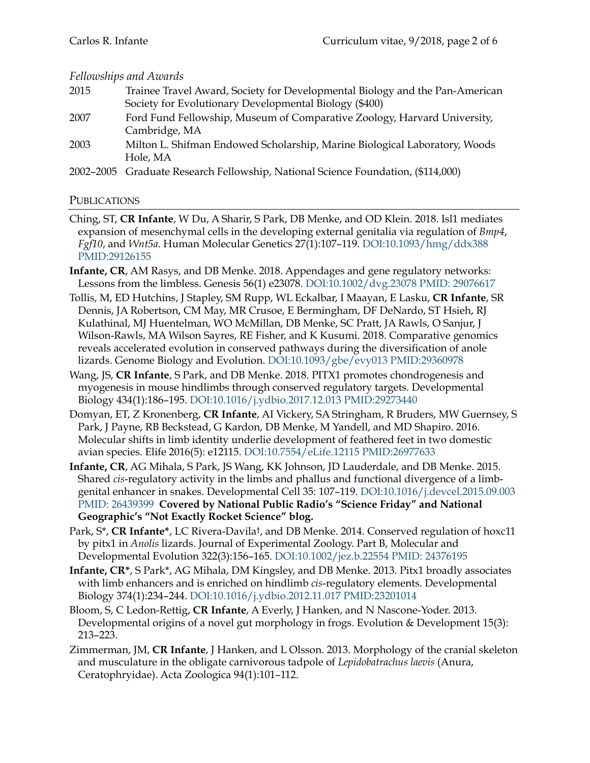### 2015 Trainee Travel Award, Society for Developmental Biology and the Pan-American Society for Evolutionary Developmental Biology (\$400) 2007 Ford Fund Fellowship, Museum of Comparative Zoology, Harvard University, Cambridge, MA 2003 Milton L. Shifman Endowed Scholarship, Marine Biological Laboratory, Woods Hole, MA

#### 2002–2005 Graduate Research Fellowship, National Science Foundation, (\$114,000)

#### **PUBLICATIONS**

- Ching, ST, **CR Infante**, W Du, A Sharir, S Park, DB Menke, and OD Klein. 2018. Isl1 mediates expansion of mesenchymal cells in the developing external genitalia via regulation of *Bmp4*, *Fgf10*, and *Wnt5a*. Human Molecular Genetics 27(1):107–119. [DOI:10.1093/hmg/ddx388](https://doi.org/10.1093/hmg/ddx388) [PMID:29126155](https://www.ncbi.nlm.nih.gov/pubmed/29126155)
- **Infante, CR**, AM Rasys, and DB Menke. 2018. Appendages and gene regulatory networks: Lessons from the limbless. Genesis 56(1) e23078. [DOI:10.1002/dvg.23078](https://doi.org/10.1002/dvg.23078) [PMID: 29076617](https://www.ncbi.nlm.nih.gov/pubmed/29076617)
- Tollis, M, ED Hutchins, J Stapley, SM Rupp, WL Eckalbar, I Maayan, E Lasku, **CR Infante**, SR Dennis, JA Robertson, CM May, MR Crusoe, E Bermingham, DF DeNardo, ST Hsieh, RJ Kulathinal, MJ Huentelman, WO McMillan, DB Menke, SC Pratt, JA Rawls, O Sanjur, J Wilson-Rawls, MA Wilson Sayres, RE Fisher, and K Kusumi. 2018. Comparative genomics reveals accelerated evolution in conserved pathways during the diversification of anole lizards. Genome Biology and Evolution. [DOI:10.1093/gbe/evy013](https://doi.org/10.1093/gbe/evy013) [PMID:29360978](https://www.ncbi.nlm.nih.gov/pubmed/29360978)
- Wang, JS, **CR Infante**, S Park, and DB Menke. 2018. PITX1 promotes chondrogenesis and myogenesis in mouse hindlimbs through conserved regulatory targets. Developmental Biology 434(1):186–195. [DOI:10.1016/j.ydbio.2017.12.013](https://doi.org/10.1016/j.ydbio.2017.12.013) [PMID:29273440](https://www.ncbi.nlm.nih.gov/pubmed/29273440)
- Domyan, ET, Z Kronenberg, **CR Infante**, AI Vickery, SA Stringham, R Bruders, MW Guernsey, S Park, J Payne, RB Beckstead, G Kardon, DB Menke, M Yandell, and MD Shapiro. 2016. Molecular shifts in limb identity underlie development of feathered feet in two domestic avian species. Elife 2016(5): e12115. [DOI:10.7554/eLife.12115](https://doi.org/10.7554/eLife.12115) [PMID:26977633](https://www.ncbi.nlm.nih.gov/pubmed/26977633)
- **Infante, CR**, AG Mihala, S Park, JS Wang, KK Johnson, JD Lauderdale, and DB Menke. 2015. Shared *cis*-regulatory activity in the limbs and phallus and functional divergence of a limbgenital enhancer in snakes. Developmental Cell 35: 107–119. [DOI:10.1016/j.devcel.2015.09.003](https://doi.org/10.1016/j.devcel.2015.09.003) [PMID: 26439399](https://www.ncbi.nlm.nih.gov/pubmed/26439399) **Covered by National Public Radio's "Science Friday" and National Geographic's "Not Exactly Rocket Science" blog.**
- Park, S\*, **CR Infante\***, LC Rivera-Davila†, and DB Menke. 2014. Conserved regulation of hoxc11 by pitx1 in *Anolis* lizards. Journal of Experimental Zoology. Part B, Molecular and Developmental Evolution 322(3):156–165. [DOI:10.1002/jez.b.22554](https://doi.org/10.1002/jez.b.22554) [PMID: 24376195](https://www.ncbi.nlm.nih.gov/pubmed/24376195)
- **Infante, CR\***, S Park\*, AG Mihala, DM Kingsley, and DB Menke. 2013. Pitx1 broadly associates with limb enhancers and is enriched on hindlimb *cis*-regulatory elements. Developmental Biology 374(1):234–244. [DOI:10.1016/j.ydbio.2012.11.017](https://doi.org/10.1016/j.ydbio.2012.11.017) [PMID:23201014](https://www.ncbi.nlm.nih.gov/pubmed/23201014)
- Bloom, S, C Ledon-Rettig, **CR Infante**, A Everly, J Hanken, and N Nascone-Yoder. 2013. Developmental origins of a novel gut morphology in frogs. Evolution & Development 15(3): 213–223.
- Zimmerman, JM, **CR Infante**, J Hanken, and L Olsson. 2013. Morphology of the cranial skeleton and musculature in the obligate carnivorous tadpole of *Lepidobatrachus laevis* (Anura, Ceratophryidae). Acta Zoologica 94(1):101–112.

#### *Fellowships and Awards*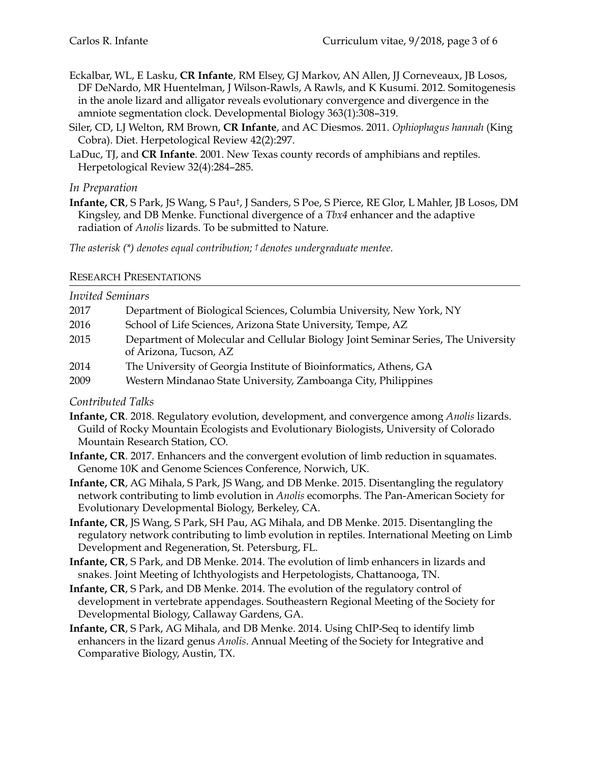- Eckalbar, WL, E Lasku, **CR Infante**, RM Elsey, GJ Markov, AN Allen, JJ Corneveaux, JB Losos, DF DeNardo, MR Huentelman, J Wilson-Rawls, A Rawls, and K Kusumi. 2012. Somitogenesis in the anole lizard and alligator reveals evolutionary convergence and divergence in the amniote segmentation clock. Developmental Biology 363(1):308–319.
- Siler, CD, LJ Welton, RM Brown, **CR Infante**, and AC Diesmos. 2011. *Ophiophagus hannah* (King Cobra). Diet. Herpetological Review 42(2):297.
- LaDuc, TJ, and **CR Infante**. 2001. New Texas county records of amphibians and reptiles. Herpetological Review 32(4):284–285.

# *In Preparation*

**Infante, CR**, S Park, JS Wang, S Pau†, J Sanders, S Poe, S Pierce, RE Glor, L Mahler, JB Losos, DM Kingsley, and DB Menke. Functional divergence of a *Tbx4* enhancer and the adaptive radiation of *Anolis* lizards. To be submitted to Nature.

*The asterisk (\*) denotes equal contribution; † denotes undergraduate mentee.* 

#### RESEARCH PRESENTATIONS

#### *Invited Seminars*

| 2017 | Department of Biological Sciences, Columbia University, New York, NY                                        |
|------|-------------------------------------------------------------------------------------------------------------|
| 2016 | School of Life Sciences, Arizona State University, Tempe, AZ                                                |
| 2015 | Department of Molecular and Cellular Biology Joint Seminar Series, The University<br>of Arizona, Tucson, AZ |
| 2014 | The University of Georgia Institute of Bioinformatics, Athens, GA                                           |
| 2009 | Western Mindanao State University, Zamboanga City, Philippines                                              |

### *Contributed Talks*

- **Infante, CR**. 2018. Regulatory evolution, development, and convergence among *Anolis* lizards. Guild of Rocky Mountain Ecologists and Evolutionary Biologists, University of Colorado Mountain Research Station, CO.
- **Infante, CR**. 2017. Enhancers and the convergent evolution of limb reduction in squamates. Genome 10K and Genome Sciences Conference, Norwich, UK.
- **Infante, CR**, AG Mihala, S Park, JS Wang, and DB Menke. 2015. Disentangling the regulatory network contributing to limb evolution in *Anolis* ecomorphs. The Pan-American Society for Evolutionary Developmental Biology, Berkeley, CA.
- **Infante, CR**, JS Wang, S Park, SH Pau, AG Mihala, and DB Menke. 2015. Disentangling the regulatory network contributing to limb evolution in reptiles. International Meeting on Limb Development and Regeneration, St. Petersburg, FL.
- **Infante, CR**, S Park, and DB Menke. 2014. The evolution of limb enhancers in lizards and snakes. Joint Meeting of Ichthyologists and Herpetologists, Chattanooga, TN.
- **Infante, CR**, S Park, and DB Menke. 2014. The evolution of the regulatory control of development in vertebrate appendages. Southeastern Regional Meeting of the Society for Developmental Biology, Callaway Gardens, GA.
- **Infante, CR**, S Park, AG Mihala, and DB Menke. 2014. Using ChIP-Seq to identify limb enhancers in the lizard genus *Anolis*. Annual Meeting of the Society for Integrative and Comparative Biology, Austin, TX.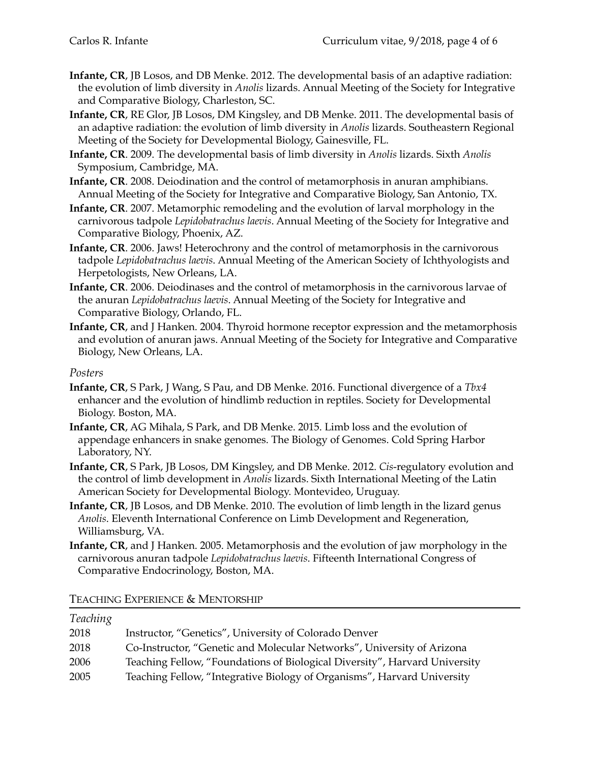- **Infante, CR**, JB Losos, and DB Menke. 2012. The developmental basis of an adaptive radiation: the evolution of limb diversity in *Anolis* lizards. Annual Meeting of the Society for Integrative and Comparative Biology, Charleston, SC.
- **Infante, CR**, RE Glor, JB Losos, DM Kingsley, and DB Menke. 2011. The developmental basis of an adaptive radiation: the evolution of limb diversity in *Anolis* lizards. Southeastern Regional Meeting of the Society for Developmental Biology, Gainesville, FL.
- **Infante, CR**. 2009. The developmental basis of limb diversity in *Anolis* lizards. Sixth *Anolis* Symposium, Cambridge, MA.
- **Infante, CR**. 2008. Deiodination and the control of metamorphosis in anuran amphibians. Annual Meeting of the Society for Integrative and Comparative Biology, San Antonio, TX.
- **Infante, CR**. 2007. Metamorphic remodeling and the evolution of larval morphology in the carnivorous tadpole *Lepidobatrachus laevis*. Annual Meeting of the Society for Integrative and Comparative Biology, Phoenix, AZ.
- **Infante, CR**. 2006. Jaws! Heterochrony and the control of metamorphosis in the carnivorous tadpole *Lepidobatrachus laevis*. Annual Meeting of the American Society of Ichthyologists and Herpetologists, New Orleans, LA.
- **Infante, CR**. 2006. Deiodinases and the control of metamorphosis in the carnivorous larvae of the anuran *Lepidobatrachus laevis*. Annual Meeting of the Society for Integrative and Comparative Biology, Orlando, FL.
- Infante, CR, and J Hanken. 2004. Thyroid hormone receptor expression and the metamorphosis and evolution of anuran jaws. Annual Meeting of the Society for Integrative and Comparative Biology, New Orleans, LA.

### *Posters*

- **Infante, CR**, S Park, J Wang, S Pau, and DB Menke. 2016. Functional divergence of a *Tbx4* enhancer and the evolution of hindlimb reduction in reptiles. Society for Developmental Biology. Boston, MA.
- **Infante, CR**, AG Mihala, S Park, and DB Menke. 2015. Limb loss and the evolution of appendage enhancers in snake genomes. The Biology of Genomes. Cold Spring Harbor Laboratory, NY.
- **Infante, CR**, S Park, JB Losos, DM Kingsley, and DB Menke. 2012. *Cis*-regulatory evolution and the control of limb development in *Anolis* lizards. Sixth International Meeting of the Latin American Society for Developmental Biology. Montevideo, Uruguay.
- **Infante, CR**, JB Losos, and DB Menke. 2010. The evolution of limb length in the lizard genus *Anolis*. Eleventh International Conference on Limb Development and Regeneration, Williamsburg, VA.
- **Infante, CR**, and J Hanken. 2005. Metamorphosis and the evolution of jaw morphology in the carnivorous anuran tadpole *Lepidobatrachus laevis*. Fifteenth International Congress of Comparative Endocrinology, Boston, MA.

| <b>Teaching</b> |                                                                            |  |
|-----------------|----------------------------------------------------------------------------|--|
| 2018            | Instructor, "Genetics", University of Colorado Denver                      |  |
| 2018            | Co-Instructor, "Genetic and Molecular Networks", University of Arizona     |  |
| 2006            | Teaching Fellow, "Foundations of Biological Diversity", Harvard University |  |
| 2005            | Teaching Fellow, "Integrative Biology of Organisms", Harvard University    |  |

# TEACHING EXPERIENCE & MENTORSHIP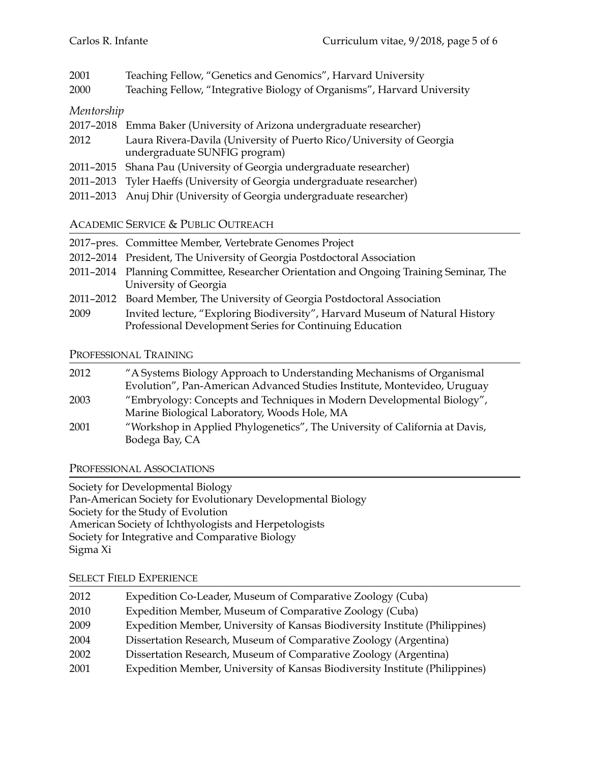- 2001 Teaching Fellow, "Genetics and Genomics", Harvard University
- 2000 Teaching Fellow, "Integrative Biology of Organisms", Harvard University

## *Mentorship*

- 2017–2018 Emma Baker (University of Arizona undergraduate researcher)
- 2012 Laura Rivera-Davila (University of Puerto Rico/University of Georgia undergraduate SUNFIG program)
- 2011–2015 Shana Pau (University of Georgia undergraduate researcher)
- 2011–2013 Tyler Haeffs (University of Georgia undergraduate researcher)
- 2011–2013 Anuj Dhir (University of Georgia undergraduate researcher)

### ACADEMIC SERVICE & PUBLIC OUTREACH

| 2017-pres. Committee Member, Vertebrate Genomes Project                                |
|----------------------------------------------------------------------------------------|
| 2012–2014 President, The University of Georgia Postdoctoral Association                |
| 2011–2014 Planning Committee, Researcher Orientation and Ongoing Training Seminar, The |
| University of Georgia                                                                  |
| 2011–2012 Board Member, The University of Georgia Postdoctoral Association             |
|                                                                                        |

2009 Invited lecture, "Exploring Biodiversity", Harvard Museum of Natural History Professional Development Series for Continuing Education

### PROFESSIONAL TRAINING

| 2012 | "A Systems Biology Approach to Understanding Mechanisms of Organismal<br>Evolution", Pan-American Advanced Studies Institute, Montevideo, Uruguay |
|------|---------------------------------------------------------------------------------------------------------------------------------------------------|
| 2003 | "Embryology: Concepts and Techniques in Modern Developmental Biology",<br>Marine Biological Laboratory, Woods Hole, MA                            |
| 2001 | "Workshop in Applied Phylogenetics", The University of California at Davis,<br>Bodega Bay, CA                                                     |

PROFESSIONAL ASSOCIATIONS

Society for Developmental Biology Pan-American Society for Evolutionary Developmental Biology Society for the Study of Evolution American Society of Ichthyologists and Herpetologists Society for Integrative and Comparative Biology Sigma Xi

### SELECT FIELD EXPERIENCE

| 2012 | Expedition Co-Leader, Museum of Comparative Zoology (Cuba)                   |
|------|------------------------------------------------------------------------------|
| 2010 | Expedition Member, Museum of Comparative Zoology (Cuba)                      |
| 2009 | Expedition Member, University of Kansas Biodiversity Institute (Philippines) |
| 2004 | Dissertation Research, Museum of Comparative Zoology (Argentina)             |
| 2002 | Dissertation Research, Museum of Comparative Zoology (Argentina)             |
| 2001 | Expedition Member, University of Kansas Biodiversity Institute (Philippines) |